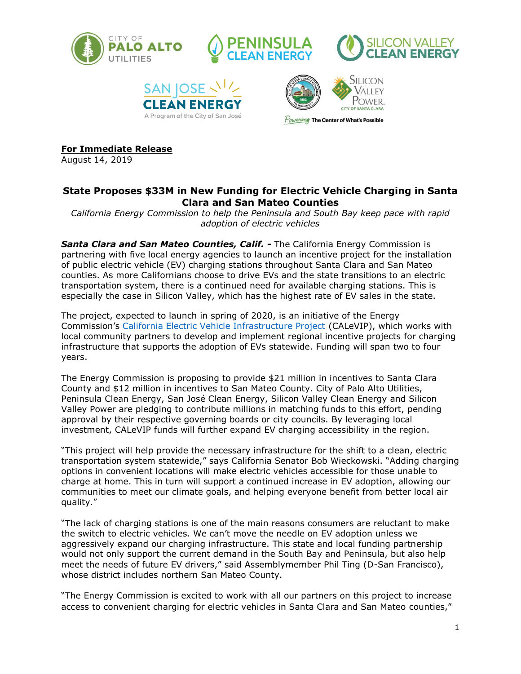









**For Immediate Release**

August 14, 2019

# **State Proposes \$33M in New Funding for Electric Vehicle Charging in Santa Clara and San Mateo Counties**

*California Energy Commission to help the Peninsula and South Bay keep pace with rapid adoption of electric vehicles*

*Santa Clara and San Mateo Counties, Calif. -* The California Energy Commission is partnering with five local energy agencies to launch an incentive project for the installation of public electric vehicle (EV) charging stations throughout Santa Clara and San Mateo counties. As more Californians choose to drive EVs and the state transitions to an electric transportation system, there is a continued need for available charging stations. This is especially the case in Silicon Valley, which has the highest rate of EV sales in the state.

The project, expected to launch in spring of 2020, is an initiative of the Energy Commission's [California Electric Vehicle Infrastructure Project](https://calevip.org/?utm_source=PressRelease&utm_medium=email&utm_campaign=SacCALeVIP) (CALeVIP), which works with local community partners to develop and implement regional incentive projects for charging infrastructure that supports the adoption of EVs statewide. Funding will span two to four years.

The Energy Commission is proposing to provide \$21 million in incentives to Santa Clara County and \$12 million in incentives to San Mateo County. City of Palo Alto Utilities, Peninsula Clean Energy, San José Clean Energy, Silicon Valley Clean Energy and Silicon Valley Power are pledging to contribute millions in matching funds to this effort, pending approval by their respective governing boards or city councils. By leveraging local investment, CALeVIP funds will further expand EV charging accessibility in the region.

"This project will help provide the necessary infrastructure for the shift to a clean, electric transportation system statewide," says California Senator Bob Wieckowski. "Adding charging options in convenient locations will make electric vehicles accessible for those unable to charge at home. This in turn will support a continued increase in EV adoption, allowing our communities to meet our climate goals, and helping everyone benefit from better local air quality."

"The lack of charging stations is one of the main reasons consumers are reluctant to make the switch to electric vehicles. We can't move the needle on EV adoption unless we aggressively expand our charging infrastructure. This state and local funding partnership would not only support the current demand in the South Bay and Peninsula, but also help meet the needs of future EV drivers," said Assemblymember Phil Ting (D-San Francisco), whose district includes northern San Mateo County.

"The Energy Commission is excited to work with all our partners on this project to increase access to convenient charging for electric vehicles in Santa Clara and San Mateo counties,"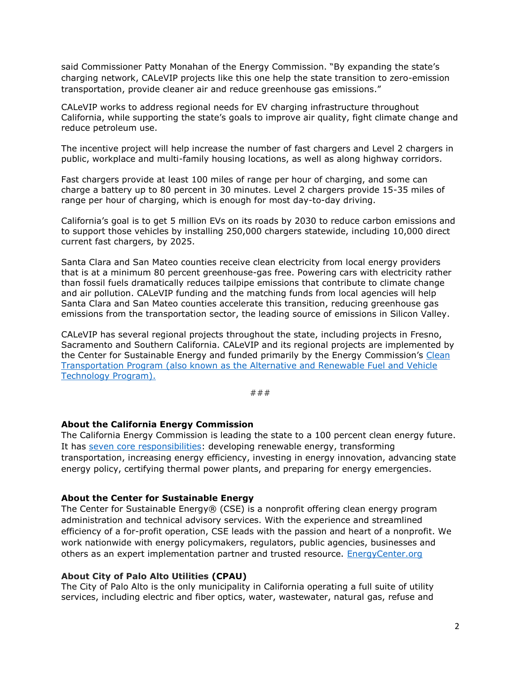said Commissioner Patty Monahan of the Energy Commission. "By expanding the state's charging network, CALeVIP projects like this one help the state transition to zero-emission transportation, provide cleaner air and reduce greenhouse gas emissions."

CALeVIP works to address regional needs for EV charging infrastructure throughout California, while supporting the state's goals to improve air quality, fight climate change and reduce petroleum use.

The incentive project will help increase the number of fast chargers and Level 2 chargers in public, workplace and multi-family housing locations, as well as along highway corridors.

Fast chargers provide at least 100 miles of range per hour of charging, and some can charge a battery up to 80 percent in 30 minutes. Level 2 chargers provide 15-35 miles of range per hour of charging, which is enough for most day-to-day driving.

California's goal is to get 5 million EVs on its roads by 2030 to reduce carbon emissions and to support those vehicles by installing 250,000 chargers statewide, including 10,000 direct current fast chargers, by 2025.

Santa Clara and San Mateo counties receive clean electricity from local energy providers that is at a minimum 80 percent greenhouse-gas free. Powering cars with electricity rather than fossil fuels dramatically reduces tailpipe emissions that contribute to climate change and air pollution. CALeVIP funding and the matching funds from local agencies will help Santa Clara and San Mateo counties accelerate this transition, reducing greenhouse gas emissions from the transportation sector, the leading source of emissions in Silicon Valley.

CALeVIP has several regional projects throughout the state, including projects in Fresno, Sacramento and Southern California. CALeVIP and its regional projects are implemented by the Center for Sustainable Energy and funded primarily by the Energy Commission's Clean [Transportation Program \(also known as the Alternative and Renewable Fuel and Vehicle](https://www.energy.ca.gov/programs-and-topics/programs/clean-transportation-program)  [Technology Program\).](https://www.energy.ca.gov/programs-and-topics/programs/clean-transportation-program)

###

# **About the California Energy Commission**

The California Energy Commission is leading the state to a 100 percent clean energy future. It has [seven core responsibilities:](https://www.energy.ca.gov/about/core-responsibility-fact-sheets) developing renewable energy, transforming transportation, increasing energy efficiency, investing in energy innovation, advancing state energy policy, certifying thermal power plants, and preparing for energy emergencies.

#### **About the Center for Sustainable Energy**

The Center for Sustainable Energy® (CSE) is a nonprofit offering clean energy program administration and technical advisory services. With the experience and streamlined efficiency of a for-profit operation, CSE leads with the passion and heart of a nonprofit. We work nationwide with energy policymakers, regulators, public agencies, businesses and others as an expert implementation partner and trusted resource. [EnergyCenter.org](https://energycenter.org/)

### **About City of Palo Alto Utilities (CPAU)**

The City of Palo Alto is the only municipality in California operating a full suite of utility services, including electric and fiber optics, water, wastewater, natural gas, refuse and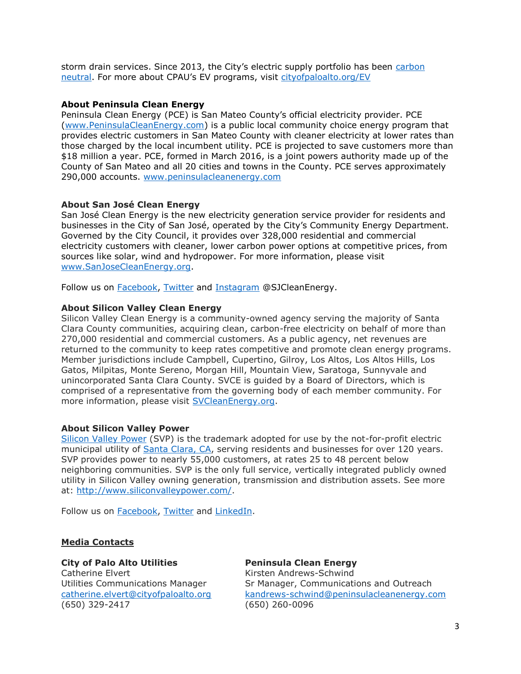storm drain services. Since 2013, the City's electric supply portfolio has been [carbon](http://www.cityofpaloalto.org/carbonneutral)  [neutral](http://www.cityofpaloalto.org/carbonneutral). For more about CPAU's EV programs, visit cityofpaloalto.org/EV

# **About Peninsula Clean Energy**

Peninsula Clean Energy (PCE) is San Mateo County's official electricity provider. PCE [\(www.PeninsulaCleanEnergy.com\)](http://www.peninsulacleanenergy.com/) is a public local community choice energy program that provides electric customers in San Mateo County with cleaner electricity at lower rates than those charged by the local incumbent utility. PCE is projected to save customers more than \$18 million a year. PCE, formed in March 2016, is a joint powers authority made up of the County of San Mateo and all 20 cities and towns in the County. PCE serves approximately 290,000 accounts. [www.peninsulacleanenergy.com](http://www.peninsulacleanenergy.com/)

### **About San José Clean Energy**

San José Clean Energy is the new electricity generation service provider for residents and businesses in the City of San José, operated by the City's Community Energy Department. Governed by the City Council, it provides over 328,000 residential and commercial electricity customers with cleaner, lower carbon power options at competitive prices, from sources like solar, wind and hydropower. For more information, please visit [www.SanJoseCleanEnergy.org.](http://www.sanjosecleanenergy.org/)

Follow us on [Facebook,](http://www.facebook.com/sjcleanenergy) [Twitter](http://www.twitter.com/sjcleanenergy) and [Instagram](http://www.instagram.com/sjcleanenergy) @SJCleanEnergy.

#### **About Silicon Valley Clean Energy**

Silicon Valley Clean Energy is a community-owned agency serving the majority of Santa Clara County communities, acquiring clean, carbon-free electricity on behalf of more than 270,000 residential and commercial customers. As a public agency, net revenues are returned to the community to keep rates competitive and promote clean energy programs. Member jurisdictions include Campbell, Cupertino, Gilroy, Los Altos, Los Altos Hills, Los Gatos, Milpitas, Monte Sereno, Morgan Hill, Mountain View, Saratoga, Sunnyvale and unincorporated Santa Clara County. SVCE is guided by a Board of Directors, which is comprised of a representative from the governing body of each member community. For more information, please visit [SVCleanEnergy.org.](https://www.svcleanenergy.org/)

#### **About Silicon Valley Power**

[Silicon Valley Power](http://www.siliconvalleypower.com/) (SVP) is the trademark adopted for use by the not-for-profit electric municipal utility of [Santa Clara, CA,](http://santaclaraca.gov/home) serving residents and businesses for over 120 years. SVP provides power to nearly 55,000 customers, at rates 25 to 48 percent below neighboring communities. SVP is the only full service, vertically integrated publicly owned utility in Silicon Valley owning generation, transmission and distribution assets. See more at: [http://www.siliconvalleypower.com/.](http://www.siliconvalleypower.com/)

Follow us on [Facebook,](https://facebook.com/SiliconValleyPower/) [Twitter](https://twitter.com/SantaClaraPower) and [LinkedIn.](https://www.linkedin.com/company/silicon-valley-power)

### **Media Contacts**

#### **City of Palo Alto Utilities Peninsula Clean Energy**

Catherine Elvert **Kirsten Andrews-Schwind** (650) 329-2417 (650) 260-0096

Utilities Communications Manager Sr Manager, Communications and Outreach [catherine.elvert@cityofpaloalto.org](mailto:catherine.elvert@cityofpaloalto.org) [kandrews-schwind@peninsulacleanenergy.com](mailto:kandrews-schwind@peninsulacleanenergy.com)